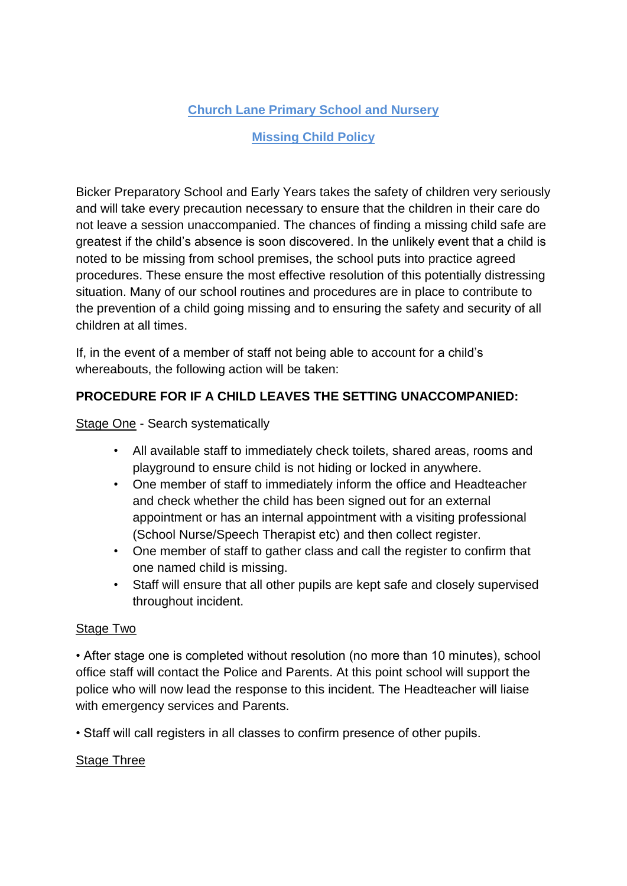# **Church Lane Primary School and Nursery**

# **Missing Child Policy**

Bicker Preparatory School and Early Years takes the safety of children very seriously and will take every precaution necessary to ensure that the children in their care do not leave a session unaccompanied. The chances of finding a missing child safe are greatest if the child's absence is soon discovered. In the unlikely event that a child is noted to be missing from school premises, the school puts into practice agreed procedures. These ensure the most effective resolution of this potentially distressing situation. Many of our school routines and procedures are in place to contribute to the prevention of a child going missing and to ensuring the safety and security of all children at all times.

If, in the event of a member of staff not being able to account for a child's whereabouts, the following action will be taken:

# **PROCEDURE FOR IF A CHILD LEAVES THE SETTING UNACCOMPANIED:**

Stage One - Search systematically

- All available staff to immediately check toilets, shared areas, rooms and playground to ensure child is not hiding or locked in anywhere.
- One member of staff to immediately inform the office and Headteacher and check whether the child has been signed out for an external appointment or has an internal appointment with a visiting professional (School Nurse/Speech Therapist etc) and then collect register.
- One member of staff to gather class and call the register to confirm that one named child is missing.
- Staff will ensure that all other pupils are kept safe and closely supervised throughout incident.

### Stage Two

• After stage one is completed without resolution (no more than 10 minutes), school office staff will contact the Police and Parents. At this point school will support the police who will now lead the response to this incident. The Headteacher will liaise with emergency services and Parents.

• Staff will call registers in all classes to confirm presence of other pupils.

## Stage Three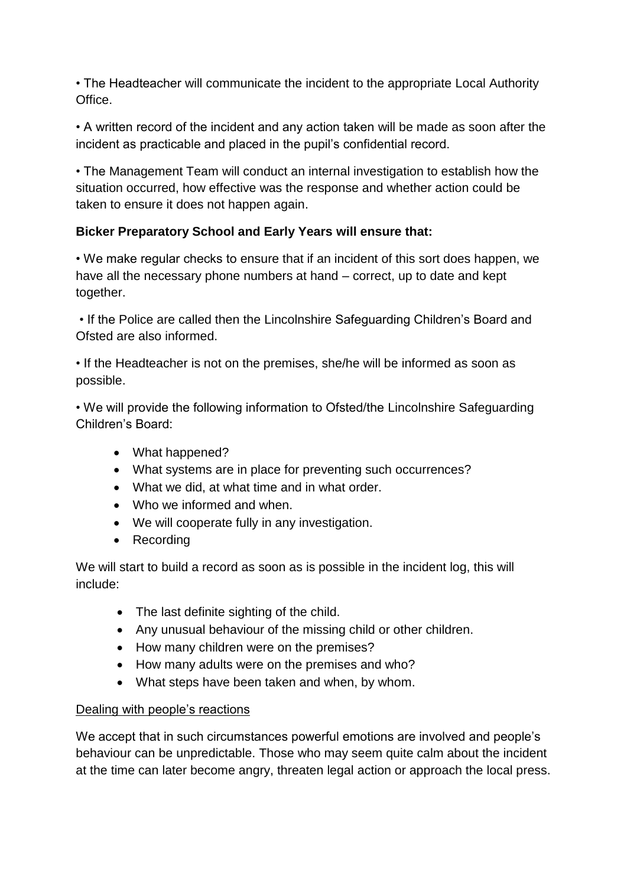• The Headteacher will communicate the incident to the appropriate Local Authority Office.

• A written record of the incident and any action taken will be made as soon after the incident as practicable and placed in the pupil's confidential record.

• The Management Team will conduct an internal investigation to establish how the situation occurred, how effective was the response and whether action could be taken to ensure it does not happen again.

# **Bicker Preparatory School and Early Years will ensure that:**

• We make regular checks to ensure that if an incident of this sort does happen, we have all the necessary phone numbers at hand – correct, up to date and kept together.

• If the Police are called then the Lincolnshire Safeguarding Children's Board and Ofsted are also informed.

• If the Headteacher is not on the premises, she/he will be informed as soon as possible.

• We will provide the following information to Ofsted/the Lincolnshire Safeguarding Children's Board:

- What happened?
- What systems are in place for preventing such occurrences?
- What we did, at what time and in what order.
- Who we informed and when.
- We will cooperate fully in any investigation.
- Recording

We will start to build a record as soon as is possible in the incident log, this will include:

- The last definite sighting of the child.
- Any unusual behaviour of the missing child or other children.
- How many children were on the premises?
- How many adults were on the premises and who?
- What steps have been taken and when, by whom.

## Dealing with people's reactions

We accept that in such circumstances powerful emotions are involved and people's behaviour can be unpredictable. Those who may seem quite calm about the incident at the time can later become angry, threaten legal action or approach the local press.